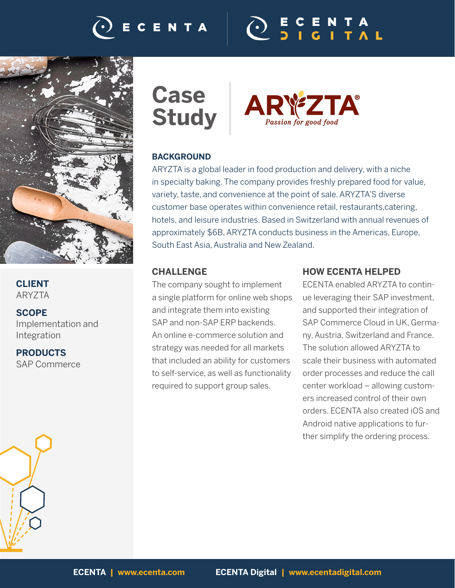# CENTA





# **CLIENT** ARYZTA

**SCOPE** Implementation and Integration

**PRODUCTS** SAP Commerce



 $\mathbf{A}^{\circ}$ Passion for good food

# **BACKGROUND**

ARYZTA is a global leader in food production and delivery, with a niche in specialty baking. The company provides freshly prepared food for value, variety, taste, and convenience at the point of sale. ARYZTA'S diverse customer base operates within convenience retail, restaurants,catering, hotels, and leisure industries. Based in Switzerland with annual revenues of approximately \$6B, ARYZTA conducts business in the Americas, Europe, South East Asia, Australia and New Zealand.

# **CHALLENGE**

The company sought to implement a single platform for online web shops and integrate them into existing SAP and non-SAP ERP backends. An online e-commerce solution and strategy was needed for all markets that included an ability for customers to self-service, as well as functionality required to support group sales.

### **HOW ECENTA HELPED**

ECENTA enabled ARYZTA to continue leveraging their SAP investment, and supported their integration of SAP Commerce Cloud in UK, Germany, Austria, Switzerland and France. The solution allowed ARYZTA to scale their business with automated order processes and reduce the call center workload – allowing customers increased control of their own orders. ECENTA also created iOS and Android native applications to further simplify the ordering process.